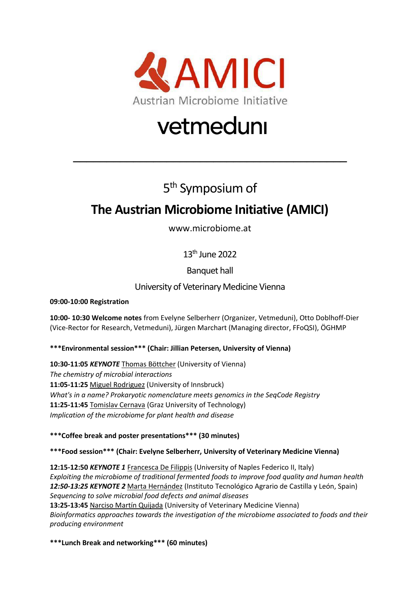

# vetmeduni

## 5<sup>th</sup> Symposium of

 $\overline{\phantom{a}}$  , and the contract of the contract of the contract of the contract of the contract of the contract of the contract of the contract of the contract of the contract of the contract of the contract of the contrac

### **The Austrian Microbiome Initiative (AMICI)**

www.microbiome.at

13<sup>th</sup> June 2022

Banquet hall

### University of Veterinary Medicine Vienna

**09:00-10:00 Registration**

**10:00- 10:30 Welcome notes** from Evelyne Selberherr (Organizer, Vetmeduni), Otto Doblhoff-Dier (Vice-Rector for Research, Vetmeduni), Jürgen Marchart (Managing director, FFoQSI), ÖGHMP

#### **\*\*\*Environmental session\*\*\* (Chair: Jillian Petersen, University of Vienna)**

**10:30-11:05** *KEYNOTE* Thomas Böttcher (University of Vienna) *The chemistry of microbial interactions* **11:05-11:25** Miguel Rodriguez (University of Innsbruck) *What's in a name? Prokaryotic nomenclature meets genomics in the SeqCode Registry* **11:25-11:45** Tomislav Cernava (Graz University of Technology) *Implication of the microbiome for plant health and disease*

**\*\*\*Coffee break and poster presentations\*\*\* (30 minutes)**

**\*\*\*Food session\*\*\* (Chair: Evelyne Selberherr, University of Veterinary Medicine Vienna)**

**12:15-12:50** *KEYNOTE 1* Francesca De Filippis (University of Naples Federico II, Italy) *Exploiting the microbiome of traditional fermented foods to improve food quality and human health 12:50-13:25 KEYNOTE 2* Marta Hernández (Instituto Tecnológico Agrario de Castilla y León, Spain) *Sequencing to solve microbial food defects and animal diseases* **13:25-13:45** Narciso Martín Quijada (University of Veterinary Medicine Vienna) *Bioinformatics approaches towards the investigation of the microbiome associated to foods and their producing environment*

**\*\*\*Lunch Break and networking\*\*\* (60 minutes)**